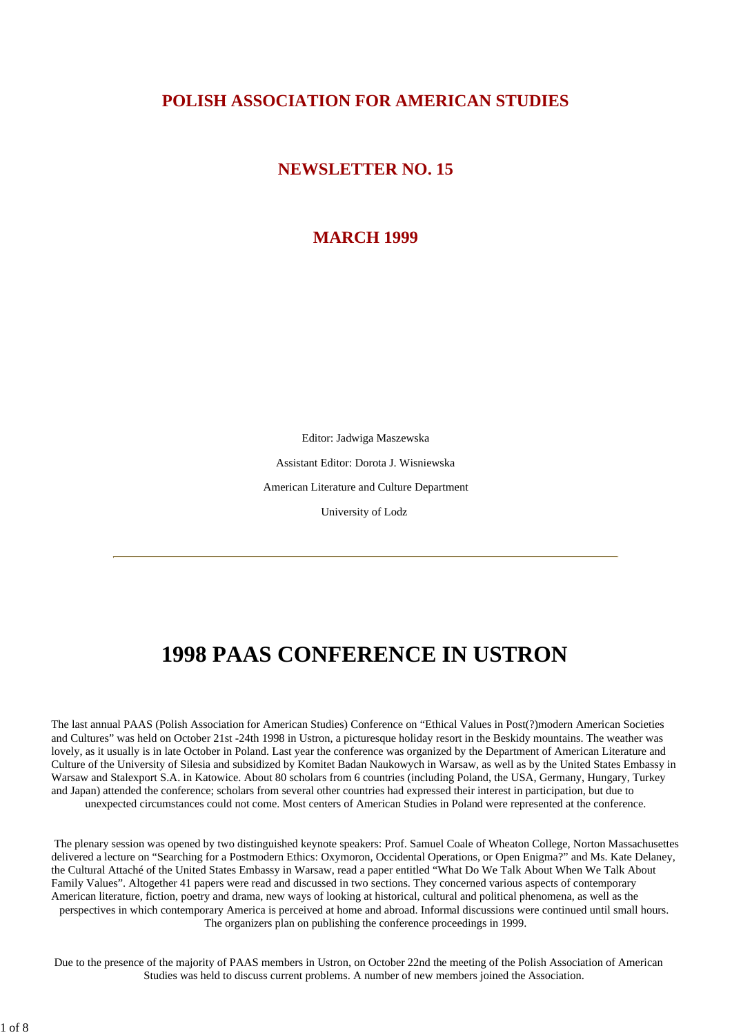### **POLISH ASSOCIATION FOR AMERICAN STUDIES**

### **NEWSLETTER NO. 15**

### **MARCH 1999**

Editor: Jadwiga Maszewska

Assistant Editor: Dorota J. Wisniewska

American Literature and Culture Department

University of Lodz

# **1998 PAAS CONFERENCE IN USTRON**

The last annual PAAS (Polish Association for American Studies) Conference on "Ethical Values in Post(?)modern American Societies and Cultures" was held on October 21st -24th 1998 in Ustron, a picturesque holiday resort in the Beskidy mountains. The weather was lovely, as it usually is in late October in Poland. Last year the conference was organized by the Department of American Literature and Culture of the University of Silesia and subsidized by Komitet Badan Naukowych in Warsaw, as well as by the United States Embassy in Warsaw and Stalexport S.A. in Katowice. About 80 scholars from 6 countries (including Poland, the USA, Germany, Hungary, Turkey and Japan) attended the conference; scholars from several other countries had expressed their interest in participation, but due to unexpected circumstances could not come. Most centers of American Studies in Poland were represented at the conference.

 The plenary session was opened by two distinguished keynote speakers: Prof. Samuel Coale of Wheaton College, Norton Massachusettes delivered a lecture on "Searching for a Postmodern Ethics: Oxymoron, Occidental Operations, or Open Enigma?" and Ms. Kate Delaney, the Cultural Attaché of the United States Embassy in Warsaw, read a paper entitled "What Do We Talk About When We Talk About Family Values". Altogether 41 papers were read and discussed in two sections. They concerned various aspects of contemporary American literature, fiction, poetry and drama, new ways of looking at historical, cultural and political phenomena, as well as the perspectives in which contemporary America is perceived at home and abroad. Informal discussions were continued until small hours. The organizers plan on publishing the conference proceedings in 1999.

 Due to the presence of the majority of PAAS members in Ustron, on October 22nd the meeting of the Polish Association of American Studies was held to discuss current problems. A number of new members joined the Association.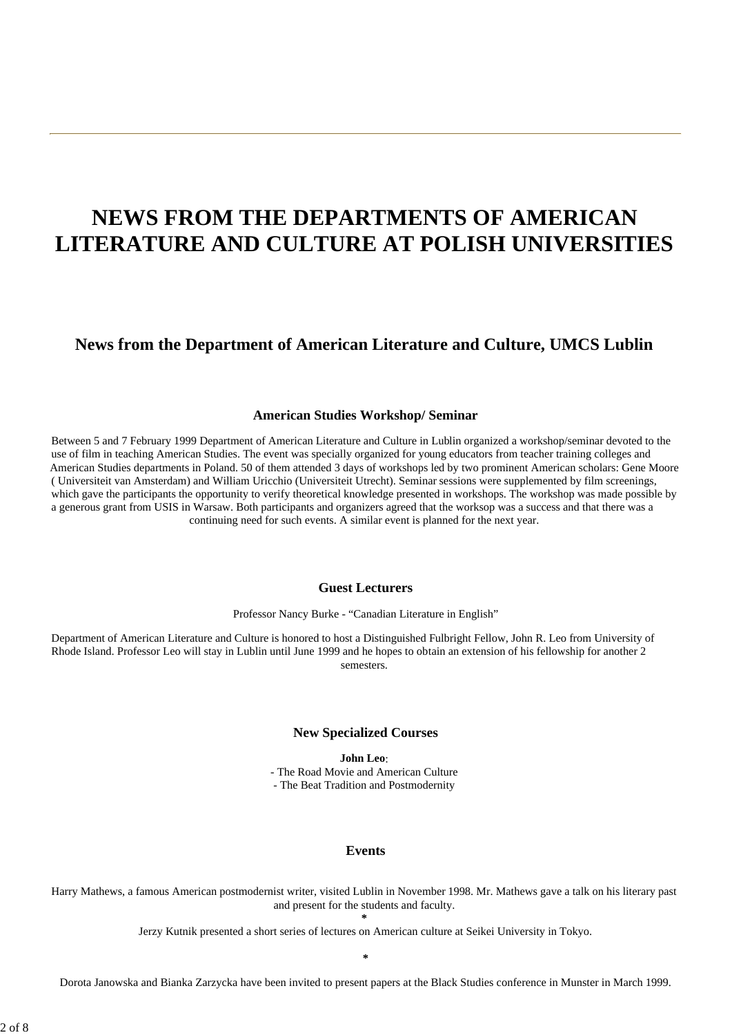# **NEWS FROM THE DEPARTMENTS OF AMERICAN LITERATURE AND CULTURE AT POLISH UNIVERSITIES**

### **News from the Department of American Literature and Culture, UMCS Lublin**

#### **American Studies Workshop/ Seminar**

Between 5 and 7 February 1999 Department of American Literature and Culture in Lublin organized a workshop/seminar devoted to the use of film in teaching American Studies. The event was specially organized for young educators from teacher training colleges and American Studies departments in Poland. 50 of them attended 3 days of workshops led by two prominent American scholars: Gene Moore ( Universiteit van Amsterdam) and William Uricchio (Universiteit Utrecht). Seminar sessions were supplemented by film screenings, which gave the participants the opportunity to verify theoretical knowledge presented in workshops. The workshop was made possible by a generous grant from USIS in Warsaw. Both participants and organizers agreed that the worksop was a success and that there was a continuing need for such events. A similar event is planned for the next year.

### **Guest Lecturers**

Professor Nancy Burke - "Canadian Literature in English"

Department of American Literature and Culture is honored to host a Distinguished Fulbright Fellow, John R. Leo from University of Rhode Island. Professor Leo will stay in Lublin until June 1999 and he hopes to obtain an extension of his fellowship for another 2 semesters.

#### **New Specialized Courses**

**John Leo**: - The Road Movie and American Culture - The Beat Tradition and Postmodernity

#### **Events**

Harry Mathews, a famous American postmodernist writer, visited Lublin in November 1998. Mr. Mathews gave a talk on his literary past and present for the students and faculty.

**\***

Jerzy Kutnik presented a short series of lectures on American culture at Seikei University in Tokyo.

**\***

Dorota Janowska and Bianka Zarzycka have been invited to present papers at the Black Studies conference in Munster in March 1999.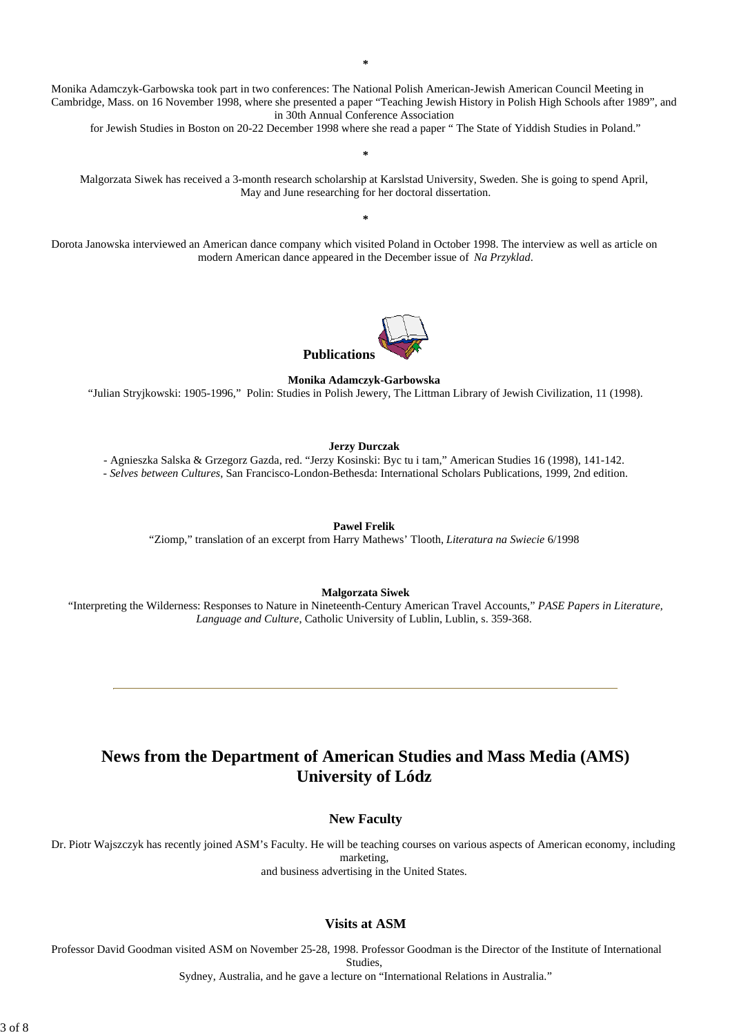Monika Adamczyk-Garbowska took part in two conferences: The National Polish American-Jewish American Council Meeting in Cambridge, Mass. on 16 November 1998, where she presented a paper "Teaching Jewish History in Polish High Schools after 1989", and in 30th Annual Conference Association

for Jewish Studies in Boston on 20-22 December 1998 where she read a paper " The State of Yiddish Studies in Poland."

Malgorzata Siwek has received a 3-month research scholarship at Karslstad University, Sweden. She is going to spend April, May and June researching for her doctoral dissertation.

**\***

**\***

Dorota Janowska interviewed an American dance company which visited Poland in October 1998. The interview as well as article on modern American dance appeared in the December issue of *Na Przyklad*.



**Monika Adamczyk-Garbowska**

"Julian Stryjkowski: 1905-1996," Polin: Studies in Polish Jewery, The Littman Library of Jewish Civilization, 11 (1998).

#### **Jerzy Durczak**

- Agnieszka Salska & Grzegorz Gazda, red. "Jerzy Kosinski: Byc tu i tam," American Studies 16 (1998), 141-142. - *Selves between Cultures*, San Francisco-London-Bethesda: International Scholars Publications, 1999, 2nd edition.

**Pawel Frelik**

"Ziomp," translation of an excerpt from Harry Mathews' Tlooth, *Literatura na Swiecie* 6/1998

**Malgorzata Siwek**

"Interpreting the Wilderness: Responses to Nature in Nineteenth-Century American Travel Accounts," *PASE Papers in Literature, Language and Culture*, Catholic University of Lublin, Lublin, s. 359-368.

# **News from the Department of American Studies and Mass Media (AMS) University of Lódz**

#### **New Faculty**

Dr. Piotr Wajszczyk has recently joined ASM's Faculty. He will be teaching courses on various aspects of American economy, including marketing, and business advertising in the United States.

#### **Visits at ASM**

Professor David Goodman visited ASM on November 25-28, 1998. Professor Goodman is the Director of the Institute of International Studies,

Sydney, Australia, and he gave a lecture on "International Relations in Australia."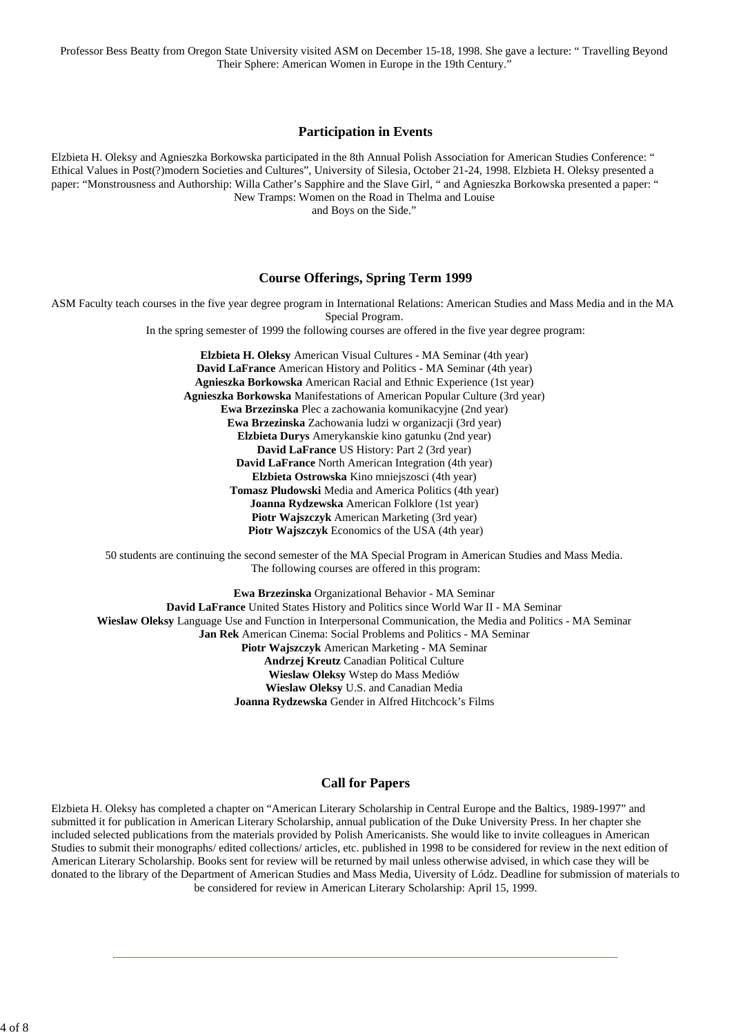Professor Bess Beatty from Oregon State University visited ASM on December 15-18, 1998. She gave a lecture: " Travelling Beyond Their Sphere: American Women in Europe in the 19th Century."

#### **Participation in Events**

Elzbieta H. Oleksy and Agnieszka Borkowska participated in the 8th Annual Polish Association for American Studies Conference: " Ethical Values in Post(?)modern Societies and Cultures", University of Silesia, October 21-24, 1998. Elzbieta H. Oleksy presented a paper: "Monstrousness and Authorship: Willa Cather's Sapphire and the Slave Girl, " and Agnieszka Borkowska presented a paper: " New Tramps: Women on the Road in Thelma and Louise

and Boys on the Side."

#### **Course Offerings, Spring Term 1999**

ASM Faculty teach courses in the five year degree program in International Relations: American Studies and Mass Media and in the MA Special Program.

In the spring semester of 1999 the following courses are offered in the five year degree program:

**Elzbieta H. Oleksy** American Visual Cultures - MA Seminar (4th year) **David LaFrance** American History and Politics - MA Seminar (4th year) **Agnieszka Borkowska** American Racial and Ethnic Experience (1st year) **Agnieszka Borkowska** Manifestations of American Popular Culture (3rd year) **Ewa Brzezinska** Plec a zachowania komunikacyjne (2nd year) **Ewa Brzezinska** Zachowania ludzi w organizacji (3rd year) **Elzbieta Durys** Amerykanskie kino gatunku (2nd year) **David LaFrance** US History: Part 2 (3rd year) **David LaFrance** North American Integration (4th year) **Elzbieta Ostrowska** Kino mniejszosci (4th year) **Tomasz Pludowski** Media and America Politics (4th year) **Joanna Rydzewska** American Folklore (1st year) **Piotr Wajszczyk** American Marketing (3rd year) **Piotr Wajszczyk** Economics of the USA (4th year)

50 students are continuing the second semester of the MA Special Program in American Studies and Mass Media. The following courses are offered in this program:

**Ewa Brzezinska** Organizational Behavior - MA Seminar **David LaFrance** United States History and Politics since World War II - MA Seminar **Wieslaw Oleksy** Language Use and Function in Interpersonal Communication, the Media and Politics - MA Seminar **Jan Rek** American Cinema: Social Problems and Politics - MA Seminar **Piotr Wajszczyk** American Marketing - MA Seminar **Andrzej Kreutz** Canadian Political Culture **Wieslaw Oleksy** Wstep do Mass Mediów **Wieslaw Oleksy** U.S. and Canadian Media **Joanna Rydzewska** Gender in Alfred Hitchcock's Films

### **Call for Papers**

Elzbieta H. Oleksy has completed a chapter on "American Literary Scholarship in Central Europe and the Baltics, 1989-1997" and submitted it for publication in American Literary Scholarship, annual publication of the Duke University Press. In her chapter she included selected publications from the materials provided by Polish Americanists. She would like to invite colleagues in American Studies to submit their monographs/ edited collections/ articles, etc. published in 1998 to be considered for review in the next edition of American Literary Scholarship. Books sent for review will be returned by mail unless otherwise advised, in which case they will be donated to the library of the Department of American Studies and Mass Media, Uiversity of Lódz. Deadline for submission of materials to be considered for review in American Literary Scholarship: April 15, 1999.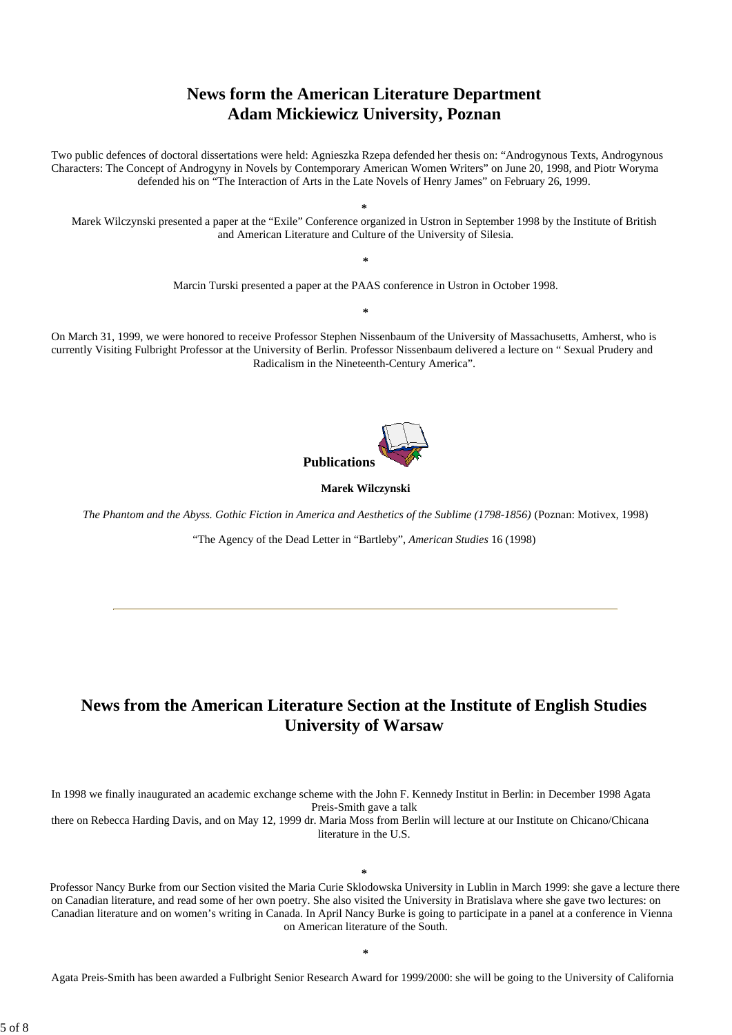# **News form the American Literature Department Adam Mickiewicz University, Poznan**

Two public defences of doctoral dissertations were held: Agnieszka Rzepa defended her thesis on: "Androgynous Texts, Androgynous Characters: The Concept of Androgyny in Novels by Contemporary American Women Writers" on June 20, 1998, and Piotr Woryma defended his on "The Interaction of Arts in the Late Novels of Henry James" on February 26, 1999.

**\*** Marek Wilczynski presented a paper at the "Exile" Conference organized in Ustron in September 1998 by the Institute of British and American Literature and Culture of the University of Silesia.

Marcin Turski presented a paper at the PAAS conference in Ustron in October 1998.

**\***

**\***

On March 31, 1999, we were honored to receive Professor Stephen Nissenbaum of the University of Massachusetts, Amherst, who is currently Visiting Fulbright Professor at the University of Berlin. Professor Nissenbaum delivered a lecture on " Sexual Prudery and Radicalism in the Nineteenth-Century America".



### **Marek Wilczynski**

*The Phantom and the Abyss. Gothic Fiction in America and Aesthetics of the Sublime (1798-1856)* (Poznan: Motivex, 1998)

"The Agency of the Dead Letter in "Bartleby", *American Studies* 16 (1998)

# **News from the American Literature Section at the Institute of English Studies University of Warsaw**

In 1998 we finally inaugurated an academic exchange scheme with the John F. Kennedy Institut in Berlin: in December 1998 Agata Preis-Smith gave a talk

there on Rebecca Harding Davis, and on May 12, 1999 dr. Maria Moss from Berlin will lecture at our Institute on Chicano/Chicana literature in the U.S.

#### **\***

Professor Nancy Burke from our Section visited the Maria Curie Sklodowska University in Lublin in March 1999: she gave a lecture there on Canadian literature, and read some of her own poetry. She also visited the University in Bratislava where she gave two lectures: on Canadian literature and on women's writing in Canada. In April Nancy Burke is going to participate in a panel at a conference in Vienna on American literature of the South.

Agata Preis-Smith has been awarded a Fulbright Senior Research Award for 1999/2000: she will be going to the University of California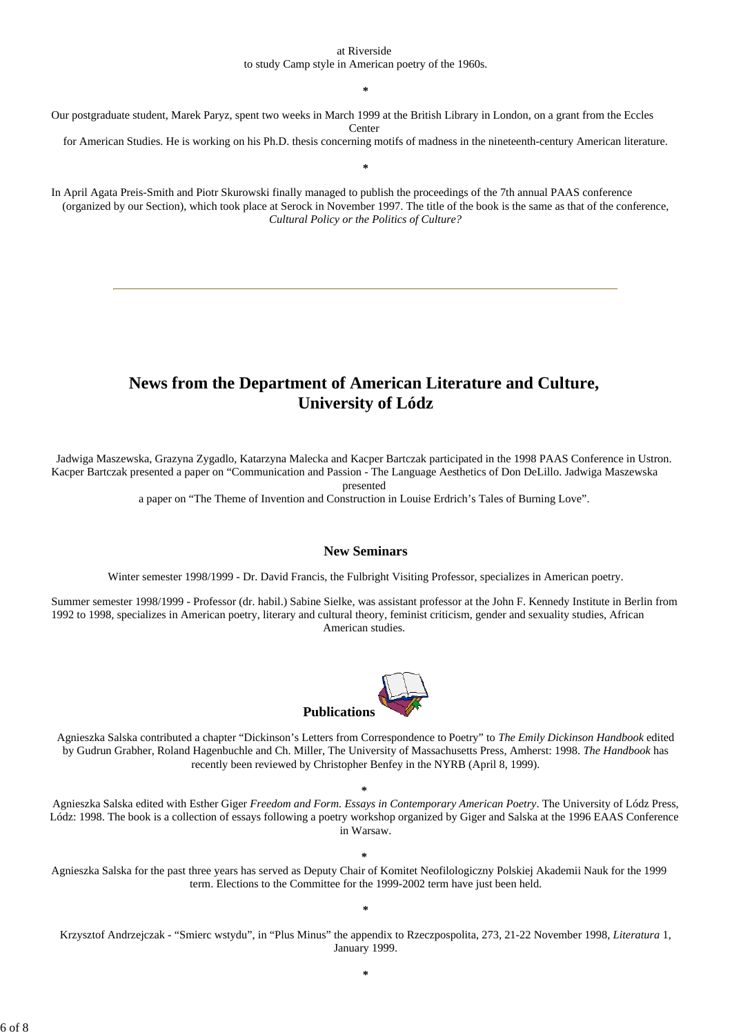#### at Riverside

to study Camp style in American poetry of the 1960s.

**\***

Our postgraduate student, Marek Paryz, spent two weeks in March 1999 at the British Library in London, on a grant from the Eccles Center

for American Studies. He is working on his Ph.D. thesis concerning motifs of madness in the nineteenth-century American literature.

**\***

In April Agata Preis-Smith and Piotr Skurowski finally managed to publish the proceedings of the 7th annual PAAS conference (organized by our Section), which took place at Serock in November 1997. The title of the book is the same as that of the conference, *Cultural Policy or the Politics of Culture?*

# **News from the Department of American Literature and Culture, University of Lódz**

Jadwiga Maszewska, Grazyna Zygadlo, Katarzyna Malecka and Kacper Bartczak participated in the 1998 PAAS Conference in Ustron. Kacper Bartczak presented a paper on "Communication and Passion - The Language Aesthetics of Don DeLillo. Jadwiga Maszewska

presented

a paper on "The Theme of Invention and Construction in Louise Erdrich's Tales of Burning Love".

#### **New Seminars**

Winter semester 1998/1999 - Dr. David Francis, the Fulbright Visiting Professor, specializes in American poetry.

Summer semester 1998/1999 - Professor (dr. habil.) Sabine Sielke, was assistant professor at the John F. Kennedy Institute in Berlin from 1992 to 1998, specializes in American poetry, literary and cultural theory, feminist criticism, gender and sexuality studies, African American studies.



Agnieszka Salska contributed a chapter "Dickinson's Letters from Correspondence to Poetry" to *The Emily Dickinson Handbook* edited by Gudrun Grabher, Roland Hagenbuchle and Ch. Miller, The University of Massachusetts Press, Amherst: 1998. *The Handbook* has recently been reviewed by Christopher Benfey in the NYRB (April 8, 1999).

Agnieszka Salska edited with Esther Giger *Freedom and Form. Essays in Contemporary American Poetry*. The University of Lódz Press, Lódz: 1998. The book is a collection of essays following a poetry workshop organized by Giger and Salska at the 1996 EAAS Conference in Warsaw.

**\***

**\*** Agnieszka Salska for the past three years has served as Deputy Chair of Komitet Neofilologiczny Polskiej Akademii Nauk for the 1999 term. Elections to the Committee for the 1999-2002 term have just been held.

**\***

Krzysztof Andrzejczak - "Smierc wstydu", in "Plus Minus" the appendix to Rzeczpospolita, 273, 21-22 November 1998, *Literatura* 1, January 1999.

6 of 8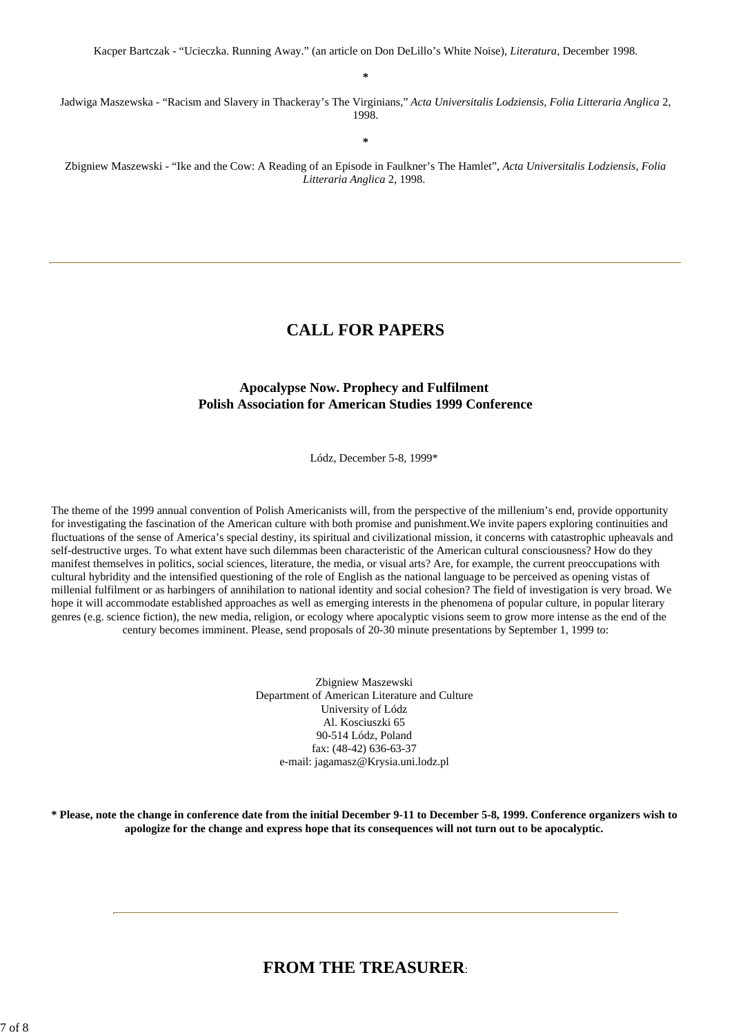**\***

Jadwiga Maszewska - "Racism and Slavery in Thackeray's The Virginians," *Acta Universitalis Lodziensis, Folia Litteraria Anglica* 2, 1998.

**\***

Zbigniew Maszewski - "Ike and the Cow: A Reading of an Episode in Faulkner's The Hamlet", *Acta Universitalis Lodziensis, Folia Litteraria Anglica* 2, 1998.

### **CALL FOR PAPERS**

### **Apocalypse Now. Prophecy and Fulfilment Polish Association for American Studies 1999 Conference**

Lódz, December 5-8, 1999\*

The theme of the 1999 annual convention of Polish Americanists will, from the perspective of the millenium's end, provide opportunity for investigating the fascination of the American culture with both promise and punishment.We invite papers exploring continuities and fluctuations of the sense of America's special destiny, its spiritual and civilizational mission, it concerns with catastrophic upheavals and self-destructive urges. To what extent have such dilemmas been characteristic of the American cultural consciousness? How do they manifest themselves in politics, social sciences, literature, the media, or visual arts? Are, for example, the current preoccupations with cultural hybridity and the intensified questioning of the role of English as the national language to be perceived as opening vistas of millenial fulfilment or as harbingers of annihilation to national identity and social cohesion? The field of investigation is very broad. We hope it will accommodate established approaches as well as emerging interests in the phenomena of popular culture, in popular literary genres (e.g. science fiction), the new media, religion, or ecology where apocalyptic visions seem to grow more intense as the end of the century becomes imminent. Please, send proposals of 20-30 minute presentations by September 1, 1999 to:

> Zbigniew Maszewski Department of American Literature and Culture University of Lódz Al. Kosciuszki 65 90-514 Lódz, Poland fax: (48-42) 636-63-37 e-mail: jagamasz@Krysia.uni.lodz.pl

**\* Please, note the change in conference date from the initial December 9-11 to December 5-8, 1999. Conference organizers wish to apologize for the change and express hope that its consequences will not turn out to be apocalyptic.**

### **FROM THE TREASURER**: